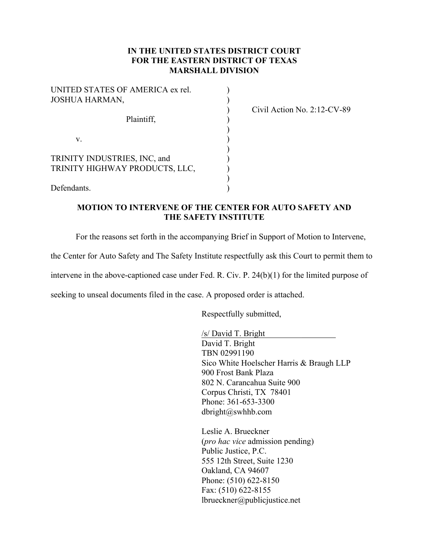#### **IN THE UNITED STATES DISTRICT COURT FOR THE EASTERN DISTRICT OF TEXAS MARSHALL DIVISION**

| UNITED STATES OF AMERICA ex rel.<br><b>JOSHUA HARMAN,</b>      |  |
|----------------------------------------------------------------|--|
| Plaintiff,                                                     |  |
| V                                                              |  |
| TRINITY INDUSTRIES, INC, and<br>TRINITY HIGHWAY PRODUCTS, LLC, |  |
| Defendants.                                                    |  |

) Civil Action No. 2:12-CV-89

#### **MOTION TO INTERVENE OF THE CENTER FOR AUTO SAFETY AND THE SAFETY INSTITUTE**

For the reasons set forth in the accompanying Brief in Support of Motion to Intervene,

the Center for Auto Safety and The Safety Institute respectfully ask this Court to permit them to

intervene in the above-captioned case under Fed. R. Civ. P. 24(b)(1) for the limited purpose of

seeking to unseal documents filed in the case. A proposed order is attached.

Respectfully submitted,

/s/ David T. Bright David T. Bright TBN 02991190 Sico White Hoelscher Harris & Braugh LLP 900 Frost Bank Plaza 802 N. Carancahua Suite 900 Corpus Christi, TX 78401 Phone: 361-653-3300 dbright@swhhb.com

Leslie A. Brueckner (*pro hac vice* admission pending) Public Justice, P.C. 555 12th Street, Suite 1230 Oakland, CA 94607 Phone: (510) 622-8150 Fax: (510) 622-8155 lbrueckner@publicjustice.net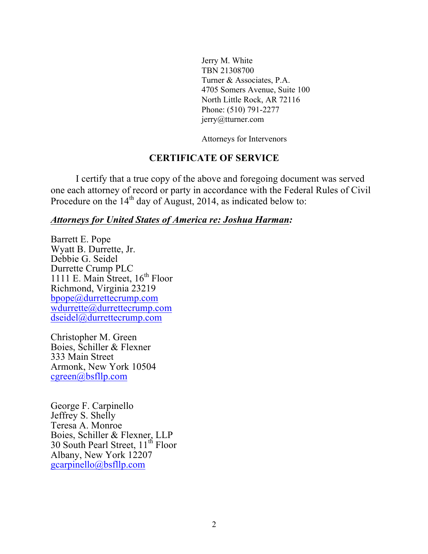Jerry M. White TBN 21308700 Turner & Associates, P.A. 4705 Somers Avenue, Suite 100 North Little Rock, AR 72116 Phone: (510) 791-2277 jerry@tturner.com

Attorneys for Intervenors

## **CERTIFICATE OF SERVICE**

I certify that a true copy of the above and foregoing document was served one each attorney of record or party in accordance with the Federal Rules of Civil Procedure on the  $14<sup>th</sup>$  day of August, 2014, as indicated below to:

## *Attorneys for United States of America re: Joshua Harman:*

Barrett E. Pope Wyatt B. Durrette, Jr. Debbie G. Seidel Durrette Crump PLC 1111 E. Main Street,  $16<sup>th</sup>$  Floor Richmond, Virginia 23219 bpope@durrettecrump.com wdurrette@durrettecrump.com dseidel@durrettecrump.com

Christopher M. Green Boies, Schiller & Flexner 333 Main Street Armonk, New York 10504 cgreen@bsfllp.com

George F. Carpinello Jeffrey S. Shelly Teresa A. Monroe Boies, Schiller & Flexner, LLP 30 South Pearl Street, 11<sup>th</sup> Floor Albany, New York 12207 gcarpinello@bsfllp.com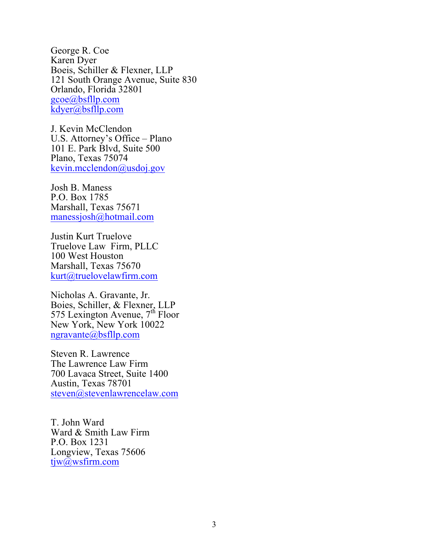George R. Coe Karen Dyer Boeis, Schiller & Flexner, LLP 121 South Orange Avenue, Suite 830 Orlando, Florida 32801 gcoe@bsfllp.com kdyer@bsfllp.com

J. Kevin McClendon U.S. Attorney's Office – Plano 101 E. Park Blvd, Suite 500 Plano, Texas 75074 kevin.mcclendon@usdoj.gov

Josh B. Maness P.O. Box 1785 Marshall, Texas 75671 manessjosh@hotmail.com

Justin Kurt Truelove Truelove Law Firm, PLLC 100 West Houston Marshall, Texas 75670 kurt@truelovelawfirm.com

Nicholas A. Gravante, Jr. Boies, Schiller, & Flexner, LLP  $575$  Lexington Avenue,  $7<sup>th</sup>$  Floor New York, New York 10022 ngravante@bsfllp.com

Steven R. Lawrence The Lawrence Law Firm 700 Lavaca Street, Suite 1400 Austin, Texas 78701 steven@stevenlawrencelaw.com

T. John Ward Ward & Smith Law Firm P.O. Box 1231 Longview, Texas 75606 tjw@wsfirm.com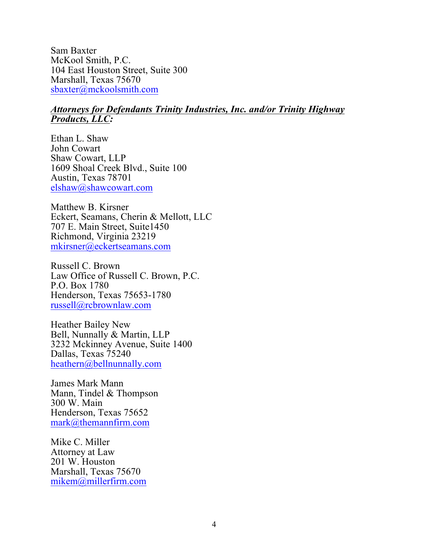Sam Baxter McKool Smith, P.C. 104 East Houston Street, Suite 300 Marshall, Texas 75670 sbaxter@mckoolsmith.com

### *Attorneys for Defendants Trinity Industries, Inc. and/or Trinity Highway Products, LLC:*

Ethan L. Shaw John Cowart Shaw Cowart, LLP 1609 Shoal Creek Blvd., Suite 100 Austin, Texas 78701 elshaw@shawcowart.com

Matthew B. Kirsner Eckert, Seamans, Cherin & Mellott, LLC 707 E. Main Street, Suite1450 Richmond, Virginia 23219 mkirsner@eckertseamans.com

Russell C. Brown Law Office of Russell C. Brown, P.C. P.O. Box 1780 Henderson, Texas 75653-1780 russell@rcbrownlaw.com

Heather Bailey New Bell, Nunnally & Martin, LLP 3232 Mckinney Avenue, Suite 1400 Dallas, Texas 75240 heathern@bellnunnally.com

James Mark Mann Mann, Tindel & Thompson 300 W. Main Henderson, Texas 75652 mark@themannfirm.com

Mike C. Miller Attorney at Law 201 W. Houston Marshall, Texas 75670 mikem@millerfirm.com